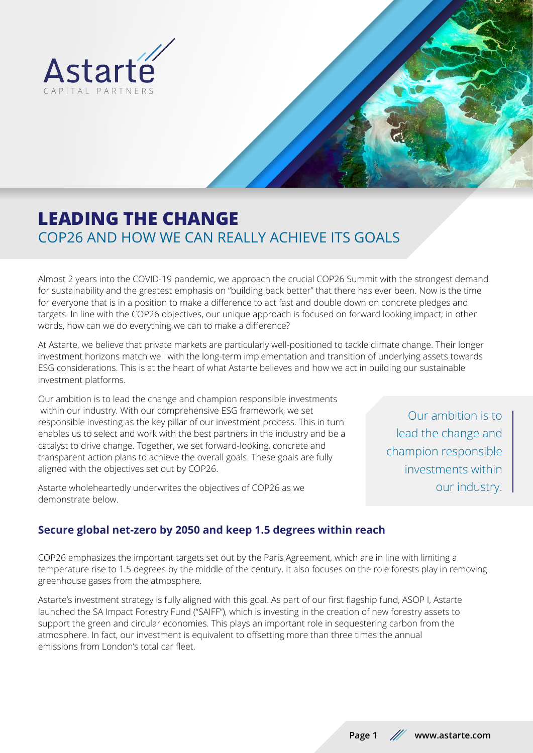



# **LEADING THE CHANGE** COP26 AND HOW WE CAN REALLY ACHIEVE ITS GOALS

Almost 2 years into the COVID-19 pandemic, we approach the crucial COP26 Summit with the strongest demand for sustainability and the greatest emphasis on "building back better" that there has ever been. Now is the time for everyone that is in a position to make a difference to act fast and double down on concrete pledges and targets. In line with the COP26 objectives, our unique approach is focused on forward looking impact; in other words, how can we do everything we can to make a difference?

At Astarte, we believe that private markets are particularly well-positioned to tackle climate change. Their longer investment horizons match well with the long-term implementation and transition of underlying assets towards ESG considerations. This is at the heart of what Astarte believes and how we act in building our sustainable investment platforms.

Our ambition is to lead the change and champion responsible investments within our industry. With our comprehensive ESG framework, we set responsible investing as the key pillar of our investment process. This in turn enables us to select and work with the best partners in the industry and be a catalyst to drive change. Together, we set forward-looking, concrete and transparent action plans to achieve the overall goals. These goals are fully aligned with the objectives set out by COP26.

Astarte wholeheartedly underwrites the objectives of COP26 as we demonstrate below.

Our ambition is to lead the change and champion responsible investments within our industry.

## **Secure global net-zero by 2050 and keep 1.5 degrees within reach**

COP26 emphasizes the important targets set out by the Paris Agreement, which are in line with limiting a temperature rise to 1.5 degrees by the middle of the century. It also focuses on the role forests play in removing greenhouse gases from the atmosphere.

Astarte's investment strategy is fully aligned with this goal. As part of our first flagship fund, ASOP I, Astarte launched the SA Impact Forestry Fund ("SAIFF"), which is investing in the creation of new forestry assets to support the green and circular economies. This plays an important role in sequestering carbon from the atmosphere. In fact, our investment is equivalent to offsetting more than three times the annual emissions from London's total car fleet.